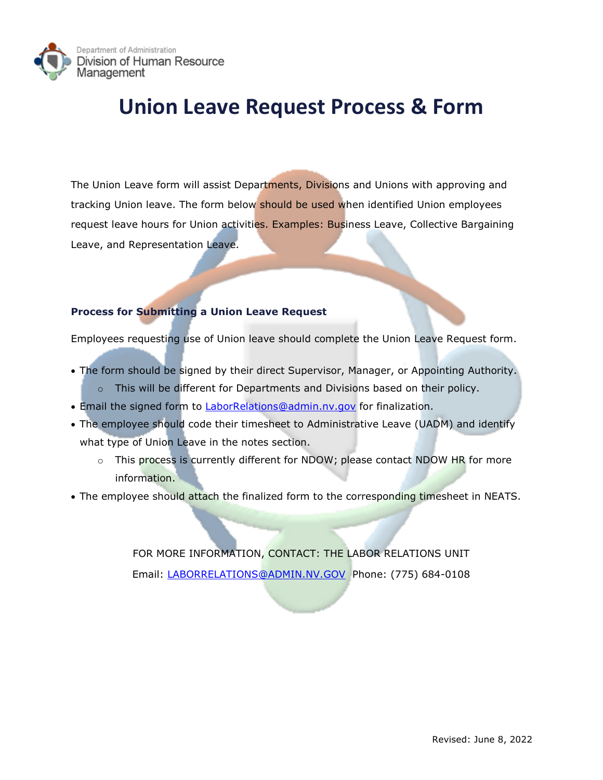

## **Union Leave Request Process & Form**

The Union Leave form will assist Departments, Divisions and Unions with approving and tracking Union leave. The form below should be used when identified Union employees request leave hours for Union activities. Examples: Business Leave, Collective Bargaining Leave, and Representation Leave.

## **Process for Submitting a Union Leave Request**

Employees requesting use of Union leave should complete the Union Leave Request form.

- • The form should be signed by their direct Supervisor, Manager, or Appointing Authority.  $\circ$  This will be different for Departments and Divisions based on their policy.
- Email the signed form to **LaborRelations@admin.nv.gov** for finalization.
- • The employee should code their timesheet to Administrative Leave (UADM) and identify what type of Union Leave in the notes section.
	- $\circ$   $\;$  This process is currently different for NDOW; please contact NDOW HR for more information.
- The employee should attach the finalized form to the corresponding timesheet in NEATS.

 FOR MORE INFORMATION, CONTACT: THE LABOR RELATIONS UNIT Email: [LABORRELATIONS@ADMIN.NV.GOV](mailto:LABORRELATIONS@ADMIN.NV.GOV) Phone: (775) 684-0108